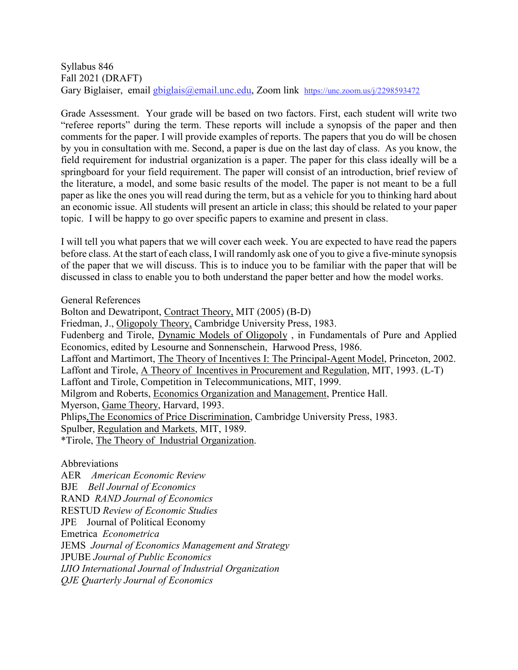Syllabus 846 Fall 2021 (DRAFT) Gary Biglaiser, email [gbiglais@email.unc.edu,](mailto:gbiglais@email.unc.edu) Zoom link <https://unc.zoom.us/j/2298593472>

Grade Assessment. Your grade will be based on two factors. First, each student will write two "referee reports" during the term. These reports will include a synopsis of the paper and then comments for the paper. I will provide examples of reports. The papers that you do will be chosen by you in consultation with me. Second, a paper is due on the last day of class. As you know, the field requirement for industrial organization is a paper. The paper for this class ideally will be a springboard for your field requirement. The paper will consist of an introduction, brief review of the literature, a model, and some basic results of the model. The paper is not meant to be a full paper as like the ones you will read during the term, but as a vehicle for you to thinking hard about an economic issue. All students will present an article in class; this should be related to your paper topic. I will be happy to go over specific papers to examine and present in class.

I will tell you what papers that we will cover each week. You are expected to have read the papers before class. At the start of each class, I will randomly ask one of you to give a five-minute synopsis of the paper that we will discuss. This is to induce you to be familiar with the paper that will be discussed in class to enable you to both understand the paper better and how the model works.

General References

Bolton and Dewatripont, Contract Theory, MIT (2005) (B-D)

Friedman, J., Oligopoly Theory, Cambridge University Press, 1983.

Fudenberg and Tirole, Dynamic Models of Oligopoly , in Fundamentals of Pure and Applied Economics, edited by Lesourne and Sonnenschein, Harwood Press, 1986.

Laffont and Martimort, The Theory of Incentives I: The Principal-Agent Model, Princeton, 2002.

Laffont and Tirole, A Theory of Incentives in Procurement and Regulation, MIT, 1993. (L-T)

Laffont and Tirole, Competition in Telecommunications, MIT, 1999.

Milgrom and Roberts, Economics Organization and Management, Prentice Hall.

Myerson, Game Theory, Harvard, 1993.

Phlips,The Economics of Price Discrimination, Cambridge University Press, 1983.

Spulber, Regulation and Markets, MIT, 1989.

\*Tirole, The Theory of Industrial Organization.

Abbreviations AER *American Economic Review* BJE *Bell Journal of Economics* RAND *RAND Journal of Economics* RESTUD *Review of Economic Studies* JPE Journal of Political Economy Emetrica *Econometrica* JEMS *Journal of Economics Management and Strategy* JPUBE *Journal of Public Economics IJIO International Journal of Industrial Organization QJE Quarterly Journal of Economics*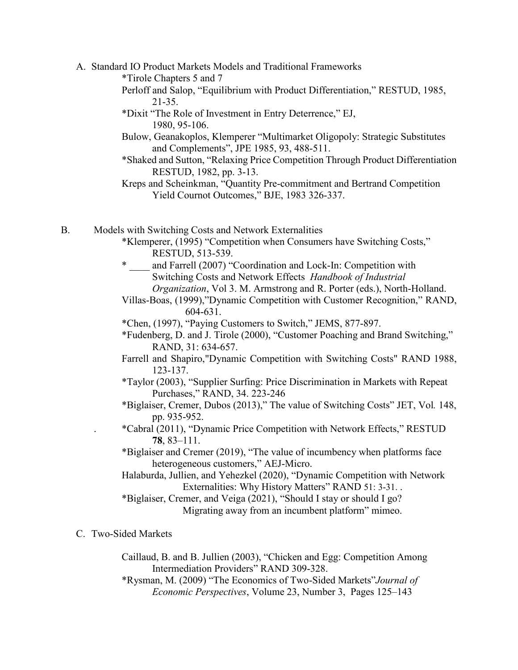## A. Standard IO Product Markets Models and Traditional Frameworks

\*Tirole Chapters 5 and 7

- Perloff and Salop, "Equilibrium with Product Differentiation," RESTUD, 1985, 21-35.
- \*Dixit "The Role of Investment in Entry Deterrence," EJ, 1980, 95-106.
- Bulow, Geanakoplos, Klemperer "Multimarket Oligopoly: Strategic Substitutes and Complements", JPE 1985, 93, 488-511.
- \*Shaked and Sutton, "Relaxing Price Competition Through Product Differentiation RESTUD, 1982, pp. 3-13.
- Kreps and Scheinkman, "Quantity Pre-commitment and Bertrand Competition Yield Cournot Outcomes," BJE, 1983 326-337.
- B. Models with Switching Costs and Network Externalities
	- \*Klemperer, (1995) "Competition when Consumers have Switching Costs," RESTUD, 513-539.
	- and Farrell (2007) "Coordination and Lock-In: Competition with Switching Costs and Network Effects *Handbook of Industrial Organization*, Vol 3. M. Armstrong and R. Porter (eds.), North-Holland.
	- Villas-Boas, (1999),"Dynamic Competition with Customer Recognition," RAND, 604-631.
	- \*Chen, (1997), "Paying Customers to Switch," JEMS, 877-897.
	- \*Fudenberg, D. and J. Tirole (2000), "Customer Poaching and Brand Switching," RAND, 31: 634-657.
	- Farrell and Shapiro,"Dynamic Competition with Switching Costs" RAND 1988, 123-137.
	- \*Taylor (2003), "Supplier Surfing: Price Discrimination in Markets with Repeat Purchases," RAND, 34. 223-246
	- \*Biglaiser, Cremer, Dubos (2013)," The value of Switching Costs" JET, Vol*.* 148, pp. 935-952.
	- . \*Cabral (2011), "Dynamic Price Competition with Network Effects," RESTUD **78**, 83–111.
	- \*Biglaiser and Cremer (2019), "The value of incumbency when platforms face heterogeneous customers," AEJ-Micro.
	- Halaburda, Jullien, and Yehezkel (2020), "Dynamic Competition with Network Externalities: Why History Matters" RAND 51: 3-31. .
	- \*Biglaiser, Cremer, and Veiga (2021), "Should I stay or should I go? Migrating away from an incumbent platform" mimeo.
	- C. Two-Sided Markets

Caillaud, B. and B. Jullien (2003), "Chicken and Egg: Competition Among Intermediation Providers" RAND 309-328.

\*Rysman, M. (2009) "The Economics of Two-Sided Markets"*Journal of Economic Perspectives*, Volume 23, Number 3, Pages 125–143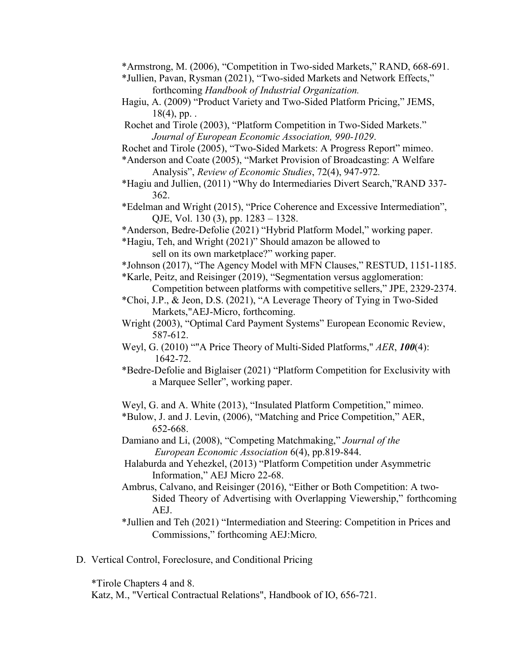- \*Armstrong, M. (2006), "Competition in Two-sided Markets," RAND, 668-691.
- \*Jullien, Pavan, Rysman (2021), "Two-sided Markets and Network Effects," forthcoming *Handbook of Industrial Organization.*
- Hagiu, A. (2009) "Product Variety and Two-Sided Platform Pricing," JEMS,  $18(4)$ , pp. .
- Rochet and Tirole (2003), "Platform Competition in Two-Sided Markets." *Journal of European Economic Association, 990-1029*.
- Rochet and Tirole (2005), "Two-Sided Markets: A Progress Report" mimeo.
- \*Anderson and Coate (2005), "Market Provision of Broadcasting: A Welfare Analysis", *Review of Economic Studies*, 72(4), 947-972*.*
- \*Hagiu and Jullien, (2011) "Why do Intermediaries Divert Search,"RAND 337- 362.
- \*Edelman and Wright (2015), "Price Coherence and Excessive Intermediation", QJE, Vol. 130 (3), pp. 1283 – 1328.
- \*Anderson, Bedre-Defolie (2021) "Hybrid Platform Model," working paper.
- \*Hagiu, Teh, and Wright (2021)" Should amazon be allowed to sell on its own marketplace?" working paper.
- \*Johnson (2017), "The Agency Model with MFN Clauses," RESTUD, 1151-1185.
- \*Karle, Peitz, and Reisinger (2019), "Segmentation versus agglomeration: Competition between platforms with competitive sellers," JPE, 2329-2374.
- \*Choi, J.P., & Jeon, D.S. (2021), "A Leverage Theory of Tying in Two-Sided Markets,"AEJ-Micro, forthcoming.
- Wright (2003), "Optimal Card Payment Systems" European Economic Review, 587-612.
- Weyl, G. (2010) ""A Price Theory of Multi-Sided Platforms," *AER*, *100*(4): 1642-72.
- \*Bedre-Defolie and Biglaiser (2021) "Platform Competition for Exclusivity with a Marquee Seller", working paper.
- Weyl, G. and A. White (2013), "Insulated Platform Competition," mimeo.
- \*Bulow, J. and J. Levin, (2006), "Matching and Price Competition," AER, 652-668.
- Damiano and Li, (2008), "Competing Matchmaking," *Journal of the European Economic Association* 6(4), pp.819-844.
- Halaburda and Yehezkel, (2013) "Platform Competition under Asymmetric Information," AEJ Micro 22-68.
- Ambrus, Calvano, and Reisinger (2016), "Either or Both Competition: A two-Sided Theory of Advertising with Overlapping Viewership," forthcoming AEJ.
- \*Jullien and Teh (2021) "Intermediation and Steering: Competition in Prices and Commissions," forthcoming AEJ:Micro*.*
- D. Vertical Control, Foreclosure, and Conditional Pricing

\*Tirole Chapters 4 and 8.

Katz, M., "Vertical Contractual Relations", Handbook of IO, 656-721.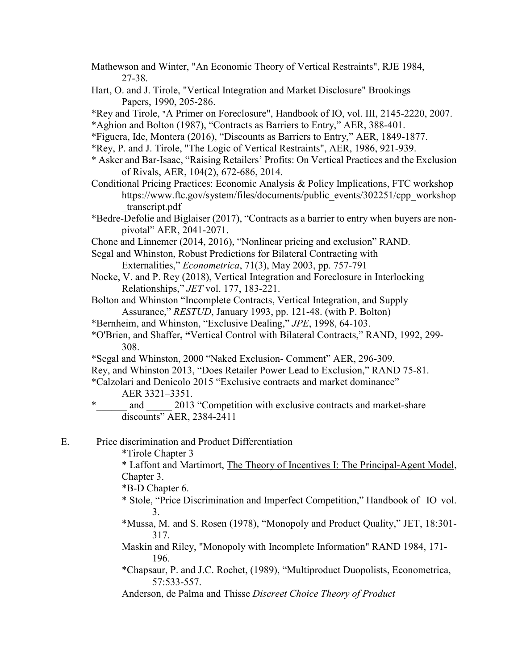- Mathewson and Winter, "An Economic Theory of Vertical Restraints", RJE 1984, 27-38.
- Hart, O. and J. Tirole, "Vertical Integration and Market Disclosure" Brookings Papers, 1990, 205-286.
- \*Rey and Tirole, "A Primer on Foreclosure", Handbook of IO, vol. III, 2145-2220, 2007.
- \*Aghion and Bolton (1987), "Contracts as Barriers to Entry," AER, 388-401.
- \*Figuera, Ide, Montera (2016), "Discounts as Barriers to Entry," AER, 1849-1877.
- \*Rey, P. and J. Tirole, "The Logic of Vertical Restraints", AER, 1986, 921-939.
- \* Asker and Bar-Isaac, "Raising Retailers' Profits: On Vertical Practices and the Exclusion of Rivals, AER, 104(2), 672-686, 2014.
- Conditional Pricing Practices: Economic Analysis & Policy Implications, FTC workshop https://www.ftc.gov/system/files/documents/public\_events/302251/cpp\_workshop \_transcript.pdf
- \*Bedre-Defolie and Biglaiser (2017), "Contracts as a barrier to entry when buyers are nonpivotal" AER, 2041-2071.
- Chone and Linnemer (2014, 2016), "Nonlinear pricing and exclusion" RAND.

Segal and Whinston, Robust Predictions for Bilateral Contracting with Externalities," *Econometrica*, 71(3), May 2003, pp. 757-791

Nocke, V. and P. Rey (2018), Vertical Integration and Foreclosure in Interlocking Relationships," *JET* vol. 177, 183-221.

Bolton and Whinston "Incomplete Contracts, Vertical Integration, and Supply Assurance," *RESTUD*, January 1993, pp. 121-48. (with P. Bolton)

\*Bernheim, and Whinston, "Exclusive Dealing," *JPE*, 1998, 64-103.

- \*O'Brien, and Shaffer**, "**Vertical Control with Bilateral Contracts," RAND, 1992, 299- 308.
- \*Segal and Whinston, 2000 "Naked Exclusion- Comment" AER, 296-309.
- Rey, and Whinston 2013, "Does Retailer Power Lead to Exclusion," RAND 75-81.

\*Calzolari and Denicolo 2015 "Exclusive contracts and market dominance" AER 3321–3351.

and 2013 "Competition with exclusive contracts and market-share discounts" AER, 2384-2411

E. Price discrimination and Product Differentiation

\*Tirole Chapter 3

\* Laffont and Martimort, The Theory of Incentives I: The Principal-Agent Model, Chapter 3.

\*B-D Chapter 6.

- \* Stole, "Price Discrimination and Imperfect Competition," Handbook of IO vol. 3.
- \*Mussa, M. and S. Rosen (1978), "Monopoly and Product Quality," JET, 18:301- 317.
- Maskin and Riley, "Monopoly with Incomplete Information" RAND 1984, 171- 196.
- \*Chapsaur, P. and J.C. Rochet, (1989), "Multiproduct Duopolists, Econometrica, 57:533-557.

Anderson, de Palma and Thisse *Discreet Choice Theory of Product*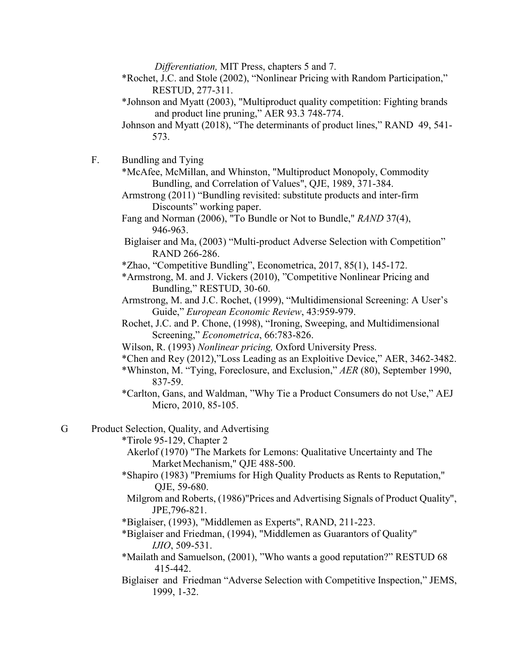*Differentiation,* MIT Press, chapters 5 and 7.

- \*Rochet, J.C. and Stole (2002), "Nonlinear Pricing with Random Participation," RESTUD, 277-311.
- \*Johnson and Myatt (2003), "Multiproduct quality competition: Fighting brands and product line pruning," AER 93.3 748-774.
- Johnson and Myatt (2018), "The determinants of product lines," RAND 49, 541- 573.
- F. Bundling and Tying
	- \*McAfee, McMillan, and Whinston, "Multiproduct Monopoly, Commodity Bundling, and Correlation of Values", QJE, 1989, 371-384.
	- Armstrong (2011) "Bundling revisited: substitute products and inter-firm Discounts" working paper.
	- Fang and Norman (2006), "To Bundle or Not to Bundle," *RAND* 37(4), 946-963.
	- Biglaiser and Ma, (2003) "Multi-product Adverse Selection with Competition" RAND 266-286.
	- \*Zhao, "Competitive Bundling", Econometrica, 2017, 85(1), 145-172.
	- \*Armstrong, M. and J. Vickers (2010), "Competitive Nonlinear Pricing and Bundling," RESTUD, 30-60.
	- Armstrong, M. and J.C. Rochet, (1999), "Multidimensional Screening: A User's Guide," *European Economic Review*, 43:959-979.
	- Rochet, J.C. and P. Chone, (1998), "Ironing, Sweeping, and Multidimensional Screening," *Econometrica*, 66:783-826.
	- Wilson, R. (1993) *Nonlinear pricing,* Oxford University Press.
	- \*Chen and Rey (2012),"Loss Leading as an Exploitive Device," AER, 3462-3482.
	- \*Whinston, M. "Tying, Foreclosure, and Exclusion," *AER* (80), September 1990, 837-59.
	- \*Carlton, Gans, and Waldman, "Why Tie a Product Consumers do not Use," AEJ Micro, 2010, 85-105.
- G Product Selection, Quality, and Advertising
	- \*Tirole 95-129, Chapter 2
	- Akerlof (1970) "The Markets for Lemons: Qualitative Uncertainty and The Market Mechanism," QJE 488-500.
	- \*Shapiro (1983) "Premiums for High Quality Products as Rents to Reputation," QJE, 59-680.
	- Milgrom and Roberts, (1986)"Prices and Advertising Signals of Product Quality", JPE,796-821.
	- \*Biglaiser, (1993), "Middlemen as Experts", RAND, 211-223.
	- \*Biglaiser and Friedman, (1994), "Middlemen as Guarantors of Quality" *IJIO*, 509-531.
	- \*Mailath and Samuelson, (2001), "Who wants a good reputation?" RESTUD 68 415-442.
	- Biglaiser and Friedman "Adverse Selection with Competitive Inspection," JEMS, 1999, 1-32.